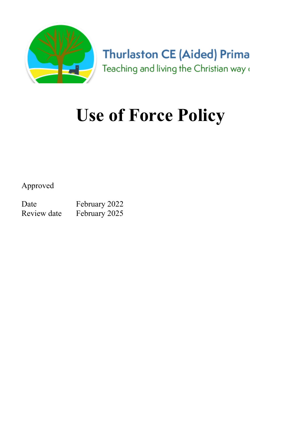

**Thurlaston CE (Aided) Prima** Teaching and living the Christian way (

# Use of Force Policy

Approved

Date February 2022 Review date February 2025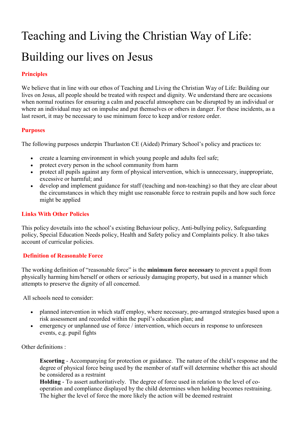# Teaching and Living the Christian Way of Life: Building our lives on Jesus

#### Principles

We believe that in line with our ethos of Teaching and Living the Christian Way of Life: Building our lives on Jesus, all people should be treated with respect and dignity. We understand there are occasions when normal routines for ensuring a calm and peaceful atmosphere can be disrupted by an individual or where an individual may act on impulse and put themselves or others in danger. For these incidents, as a last resort, it may be necessary to use minimum force to keep and/or restore order.

#### Purposes

The following purposes underpin Thurlaston CE (Aided) Primary School's policy and practices to:

- create a learning environment in which young people and adults feel safe;
- protect every person in the school community from harm
- protect all pupils against any form of physical intervention, which is unnecessary, inappropriate, excessive or harmful; and
- develop and implement guidance for staff (teaching and non-teaching) so that they are clear about the circumstances in which they might use reasonable force to restrain pupils and how such force might be applied

#### Links With Other Policies

This policy dovetails into the school's existing Behaviour policy, Anti-bullying policy, Safeguarding policy, Special Education Needs policy, Health and Safety policy and Complaints policy. It also takes account of curricular policies.

#### Definition of Reasonable Force

The working definition of "reasonable force" is the **minimum force necessary** to prevent a pupil from physically harming him/herself or others or seriously damaging property, but used in a manner which attempts to preserve the dignity of all concerned.

All schools need to consider:

- planned intervention in which staff employ, where necessary, pre-arranged strategies based upon a risk assessment and recorded within the pupil's education plan; and
- emergency or unplanned use of force / intervention, which occurs in response to unforeseen events, e.g. pupil fights

Other definitions :

Escorting - Accompanying for protection or guidance. The nature of the child's response and the degree of physical force being used by the member of staff will determine whether this act should be considered as a restraint

Holding - To assert authoritatively. The degree of force used in relation to the level of cooperation and compliance displayed by the child determines when holding becomes restraining. The higher the level of force the more likely the action will be deemed restraint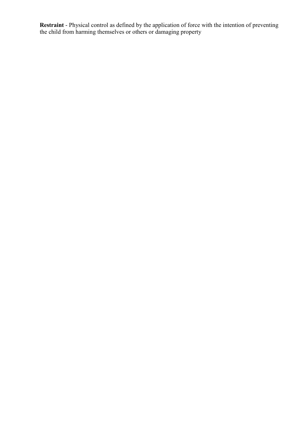Restraint - Physical control as defined by the application of force with the intention of preventing the child from harming themselves or others or damaging property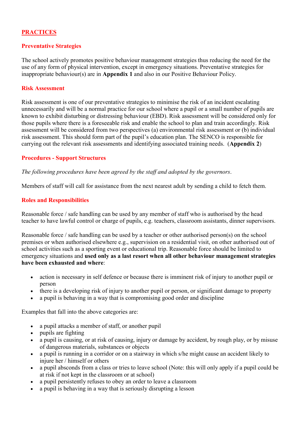#### **PRACTICES**

#### Preventative Strategies

The school actively promotes positive behaviour management strategies thus reducing the need for the use of any form of physical intervention, except in emergency situations. Preventative strategies for inappropriate behaviour(s) are in Appendix 1 and also in our Positive Behaviour Policy.

#### Risk Assessment

Risk assessment is one of our preventative strategies to minimise the risk of an incident escalating unnecessarily and will be a normal practice for our school where a pupil or a small number of pupils are known to exhibit disturbing or distressing behaviour (EBD). Risk assessment will be considered only for those pupils where there is a foreseeable risk and enable the school to plan and train accordingly. Risk assessment will be considered from two perspectives (a) environmental risk assessment or (b) individual risk assessment. This should form part of the pupil's education plan. The SENCO is responsible for carrying out the relevant risk assessments and identifying associated training needs. (Appendix 2)

#### Procedures - Support Structures

The following procedures have been agreed by the staff and adopted by the governors.

Members of staff will call for assistance from the next nearest adult by sending a child to fetch them.

#### Roles and Responsibilities

Reasonable force / safe handling can be used by any member of staff who is authorised by the head teacher to have lawful control or charge of pupils, e.g. teachers, classroom assistants, dinner supervisors.

Reasonable force / safe handling can be used by a teacher or other authorised person(s) on the school premises or when authorised elsewhere e.g., supervision on a residential visit, on other authorised out of school activities such as a sporting event or educational trip. Reasonable force should be limited to emergency situations and used only as a last resort when all other behaviour management strategies have been exhausted and where:

- action is necessary in self defence or because there is imminent risk of injury to another pupil or person
- there is a developing risk of injury to another pupil or person, or significant damage to property
- a pupil is behaving in a way that is compromising good order and discipline

Examples that fall into the above categories are:

- a pupil attacks a member of staff, or another pupil
- pupils are fighting
- a pupil is causing, or at risk of causing, injury or damage by accident, by rough play, or by misuse of dangerous materials, substances or objects
- a pupil is running in a corridor or on a stairway in which s/he might cause an accident likely to injure her / himself or others
- a pupil absconds from a class or tries to leave school (Note: this will only apply if a pupil could be at risk if not kept in the classroom or at school)
- a pupil persistently refuses to obey an order to leave a classroom
- a pupil is behaving in a way that is seriously disrupting a lesson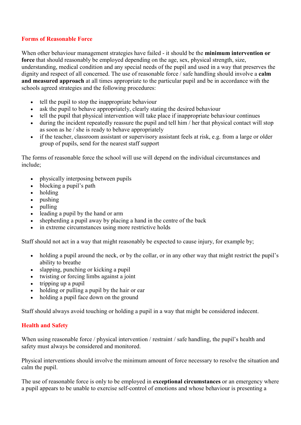#### Forms of Reasonable Force

When other behaviour management strategies have failed - it should be the **minimum intervention or** force that should reasonably be employed depending on the age, sex, physical strength, size, understanding, medical condition and any special needs of the pupil and used in a way that preserves the dignity and respect of all concerned. The use of reasonable force / safe handling should involve a calm and measured approach at all times appropriate to the particular pupil and be in accordance with the schools agreed strategies and the following procedures:

- tell the pupil to stop the inappropriate behaviour
- ask the pupil to behave appropriately, clearly stating the desired behaviour
- tell the pupil that physical intervention will take place if inappropriate behaviour continues
- during the incident repeatedly reassure the pupil and tell him / her that physical contact will stop as soon as he / she is ready to behave appropriately
- if the teacher, classroom assistant or supervisory assistant feels at risk, e.g. from a large or older group of pupils, send for the nearest staff support

The forms of reasonable force the school will use will depend on the individual circumstances and include;

- physically interposing between pupils
- blocking a pupil's path
- holding
- pushing
- pulling
- leading a pupil by the hand or arm
- shepherding a pupil away by placing a hand in the centre of the back
- in extreme circumstances using more restrictive holds

Staff should not act in a way that might reasonably be expected to cause injury, for example by;

- holding a pupil around the neck, or by the collar, or in any other way that might restrict the pupil's ability to breathe
- slapping, punching or kicking a pupil
- twisting or forcing limbs against a joint
- $\bullet$  tripping up a pupil
- holding or pulling a pupil by the hair or ear
- holding a pupil face down on the ground

Staff should always avoid touching or holding a pupil in a way that might be considered indecent.

#### Health and Safety

When using reasonable force / physical intervention / restraint / safe handling, the pupil's health and safety must always be considered and monitored.

Physical interventions should involve the minimum amount of force necessary to resolve the situation and calm the pupil.

The use of reasonable force is only to be employed in **exceptional circumstances** or an emergency where a pupil appears to be unable to exercise self-control of emotions and whose behaviour is presenting a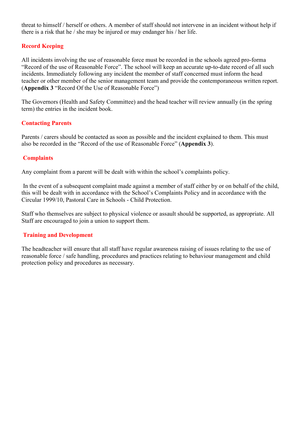threat to himself / herself or others. A member of staff should not intervene in an incident without help if there is a risk that he / she may be injured or may endanger his / her life.

#### Record Keeping

All incidents involving the use of reasonable force must be recorded in the schools agreed pro-forma "Record of the use of Reasonable Force". The school will keep an accurate up-to-date record of all such incidents. Immediately following any incident the member of staff concerned must inform the head teacher or other member of the senior management team and provide the contemporaneous written report. (Appendix 3 "Record Of the Use of Reasonable Force")

The Governors (Health and Safety Committee) and the head teacher will review annually (in the spring term) the entries in the incident book.

#### Contacting Parents

Parents / carers should be contacted as soon as possible and the incident explained to them. This must also be recorded in the "Record of the use of Reasonable Force" (Appendix 3).

#### **Complaints**

Any complaint from a parent will be dealt with within the school's complaints policy.

 In the event of a subsequent complaint made against a member of staff either by or on behalf of the child, this will be dealt with in accordance with the School's Complaints Policy and in accordance with the Circular 1999/10, Pastoral Care in Schools - Child Protection.

Staff who themselves are subject to physical violence or assault should be supported, as appropriate. All Staff are encouraged to join a union to support them.

#### Training and Development

The headteacher will ensure that all staff have regular awareness raising of issues relating to the use of reasonable force / safe handling, procedures and practices relating to behaviour management and child protection policy and procedures as necessary.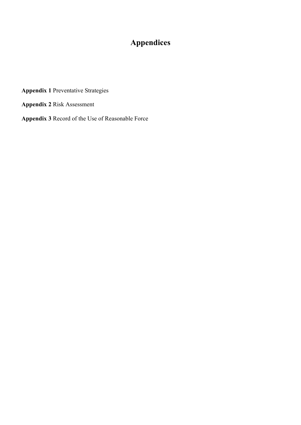## Appendices

Appendix 1 Preventative Strategies

Appendix 2 Risk Assessment

Appendix 3 Record of the Use of Reasonable Force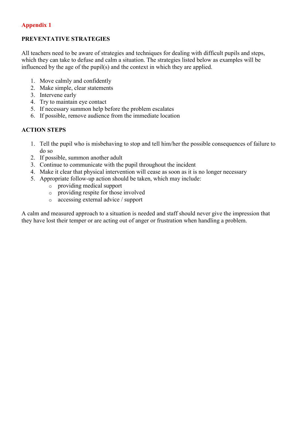#### Appendix 1

#### PREVENTATIVE STRATEGIES

All teachers need to be aware of strategies and techniques for dealing with difficult pupils and steps, which they can take to defuse and calm a situation. The strategies listed below as examples will be influenced by the age of the pupil(s) and the context in which they are applied.

- 1. Move calmly and confidently
- 2. Make simple, clear statements
- 3. Intervene early
- 4. Try to maintain eye contact
- 5. If necessary summon help before the problem escalates
- 6. If possible, remove audience from the immediate location

#### ACTION STEPS

- 1. Tell the pupil who is misbehaving to stop and tell him/her the possible consequences of failure to do so
- 2. If possible, summon another adult
- 3. Continue to communicate with the pupil throughout the incident
- 4. Make it clear that physical intervention will cease as soon as it is no longer necessary
- 5. Appropriate follow-up action should be taken, which may include:
	- $\circ$  providing medical support
	- o providing respite for those involved
	- o accessing external advice / support

A calm and measured approach to a situation is needed and staff should never give the impression that they have lost their temper or are acting out of anger or frustration when handling a problem.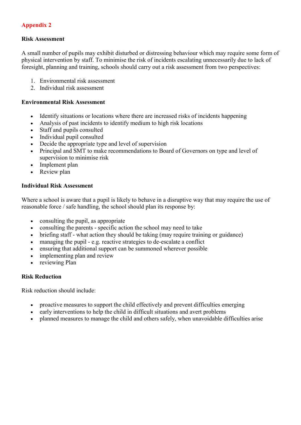#### Appendix 2

#### Risk Assessment

A small number of pupils may exhibit disturbed or distressing behaviour which may require some form of physical intervention by staff. To minimise the risk of incidents escalating unnecessarily due to lack of foresight, planning and training, schools should carry out a risk assessment from two perspectives:

- 1. Environmental risk assessment
- 2. Individual risk assessment

#### Environmental Risk Assessment

- Identify situations or locations where there are increased risks of incidents happening
- Analysis of past incidents to identify medium to high risk locations
- Staff and pupils consulted
- Individual pupil consulted
- Decide the appropriate type and level of supervision
- Principal and SMT to make recommendations to Board of Governors on type and level of supervision to minimise risk
- Implement plan
- Review plan

#### Individual Risk Assessment

Where a school is aware that a pupil is likely to behave in a disruptive way that may require the use of reasonable force / safe handling, the school should plan its response by:

- consulting the pupil, as appropriate
- consulting the parents specific action the school may need to take
- briefing staff what action they should be taking (may require training or guidance)
- managing the pupil e.g. reactive strategies to de-escalate a conflict
- ensuring that additional support can be summoned wherever possible
- implementing plan and review
- reviewing Plan

#### Risk Reduction

Risk reduction should include:

- proactive measures to support the child effectively and prevent difficulties emerging
- early interventions to help the child in difficult situations and avert problems
- planned measures to manage the child and others safely, when unavoidable difficulties arise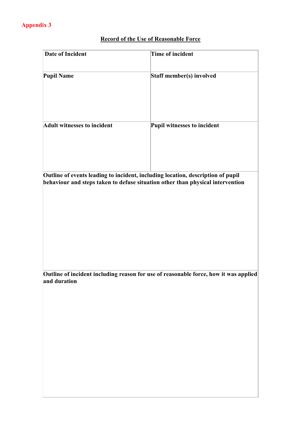### Record of the Use of Reasonable Force

| <b>Date of Incident</b>            | Time of incident                                                                                                                                                  |
|------------------------------------|-------------------------------------------------------------------------------------------------------------------------------------------------------------------|
| <b>Pupil Name</b>                  | Staff member(s) involved                                                                                                                                          |
| <b>Adult witnesses to incident</b> | Pupil witnesses to incident                                                                                                                                       |
|                                    | Outline of events leading to incident, including location, description of pupil<br>behaviour and steps taken to defuse situation other than physical intervention |
| and duration                       | Outline of incident including reason for use of reasonable force, how it was applied                                                                              |
|                                    |                                                                                                                                                                   |
|                                    |                                                                                                                                                                   |